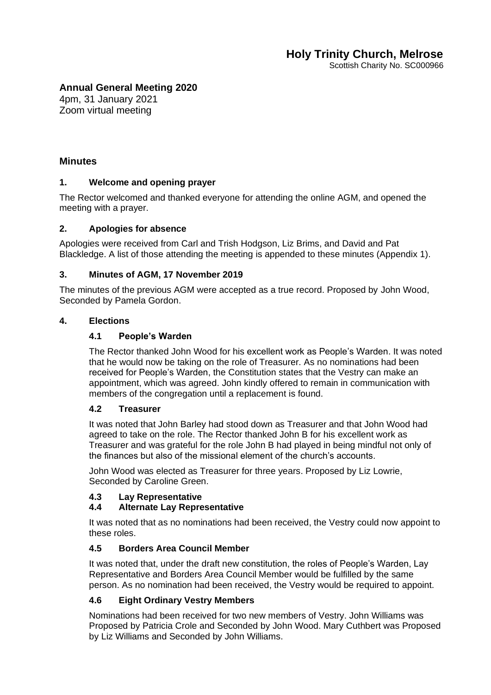Scottish Charity No. SC000966

# **Annual General Meeting 2020**

4pm, 31 January 2021 Zoom virtual meeting

## **Minutes**

### **1. Welcome and opening prayer**

The Rector welcomed and thanked everyone for attending the online AGM, and opened the meeting with a prayer.

## **2. Apologies for absence**

Apologies were received from Carl and Trish Hodgson, Liz Brims, and David and Pat Blackledge. A list of those attending the meeting is appended to these minutes (Appendix 1).

## **3. Minutes of AGM, 17 November 2019**

The minutes of the previous AGM were accepted as a true record. Proposed by John Wood, Seconded by Pamela Gordon.

### **4. Elections**

## **4.1 People's Warden**

The Rector thanked John Wood for his excellent work as People's Warden. It was noted that he would now be taking on the role of Treasurer. As no nominations had been received for People's Warden, the Constitution states that the Vestry can make an appointment, which was agreed. John kindly offered to remain in communication with members of the congregation until a replacement is found.

### **4.2 Treasurer**

It was noted that John Barley had stood down as Treasurer and that John Wood had agreed to take on the role. The Rector thanked John B for his excellent work as Treasurer and was grateful for the role John B had played in being mindful not only of the finances but also of the missional element of the church's accounts.

John Wood was elected as Treasurer for three years. Proposed by Liz Lowrie, Seconded by Caroline Green.

### **4.3 Lay Representative**

### **4.4 Alternate Lay Representative**

It was noted that as no nominations had been received, the Vestry could now appoint to these roles.

### **4.5 Borders Area Council Member**

It was noted that, under the draft new constitution, the roles of People's Warden, Lay Representative and Borders Area Council Member would be fulfilled by the same person. As no nomination had been received, the Vestry would be required to appoint.

# **4.6 Eight Ordinary Vestry Members**

Nominations had been received for two new members of Vestry. John Williams was Proposed by Patricia Crole and Seconded by John Wood. Mary Cuthbert was Proposed by Liz Williams and Seconded by John Williams.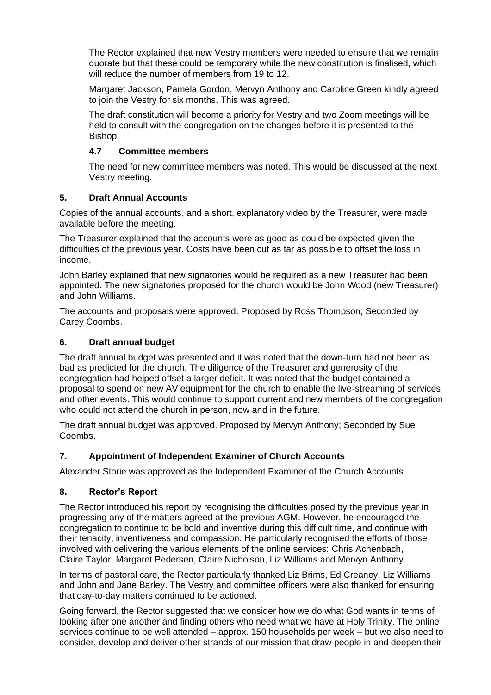The Rector explained that new Vestry members were needed to ensure that we remain quorate but that these could be temporary while the new constitution is finalised, which will reduce the number of members from 19 to 12.

Margaret Jackson, Pamela Gordon, Mervyn Anthony and Caroline Green kindly agreed to ioin the Vestry for six months. This was agreed.

The draft constitution will become a priority for Vestry and two Zoom meetings will be held to consult with the congregation on the changes before it is presented to the Bishop.

## **4.7 Committee members**

The need for new committee members was noted. This would be discussed at the next Vestry meeting.

## **5. Draft Annual Accounts**

Copies of the annual accounts, and a short, explanatory video by the Treasurer, were made available before the meeting.

The Treasurer explained that the accounts were as good as could be expected given the difficulties of the previous year. Costs have been cut as far as possible to offset the loss in income.

John Barley explained that new signatories would be required as a new Treasurer had been appointed. The new signatories proposed for the church would be John Wood (new Treasurer) and John Williams.

The accounts and proposals were approved. Proposed by Ross Thompson; Seconded by Carey Coombs.

## **6. Draft annual budget**

The draft annual budget was presented and it was noted that the down-turn had not been as bad as predicted for the church. The diligence of the Treasurer and generosity of the congregation had helped offset a larger deficit. It was noted that the budget contained a proposal to spend on new AV equipment for the church to enable the live-streaming of services and other events. This would continue to support current and new members of the congregation who could not attend the church in person, now and in the future.

The draft annual budget was approved. Proposed by Mervyn Anthony; Seconded by Sue Coombs.

# **7. Appointment of Independent Examiner of Church Accounts**

Alexander Storie was approved as the Independent Examiner of the Church Accounts.

### **8. Rector's Report**

The Rector introduced his report by recognising the difficulties posed by the previous year in progressing any of the matters agreed at the previous AGM. However, he encouraged the congregation to continue to be bold and inventive during this difficult time, and continue with their tenacity, inventiveness and compassion. He particularly recognised the efforts of those involved with delivering the various elements of the online services: Chris Achenbach, Claire Taylor, Margaret Pedersen, Claire Nicholson, Liz Williams and Mervyn Anthony.

In terms of pastoral care, the Rector particularly thanked Liz Brims, Ed Creaney, Liz Williams and John and Jane Barley. The Vestry and committee officers were also thanked for ensuring that day-to-day matters continued to be actioned.

Going forward, the Rector suggested that we consider how we do what God wants in terms of looking after one another and finding others who need what we have at Holy Trinity. The online services continue to be well attended – approx. 150 households per week – but we also need to consider, develop and deliver other strands of our mission that draw people in and deepen their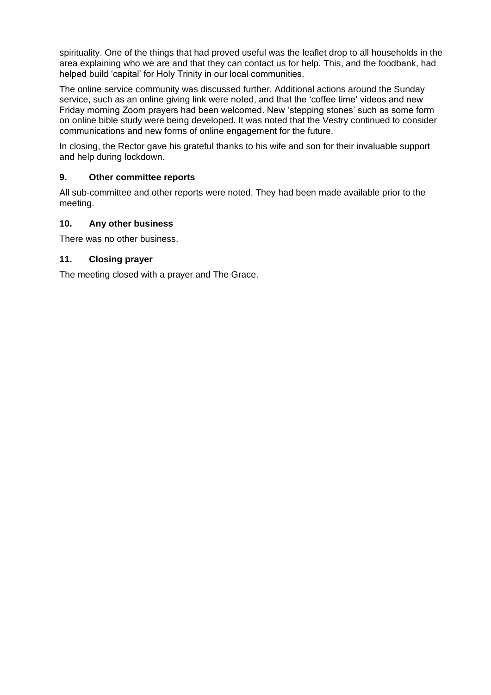spirituality. One of the things that had proved useful was the leaflet drop to all households in the area explaining who we are and that they can contact us for help. This, and the foodbank, had helped build 'capital' for Holy Trinity in our local communities.

The online service community was discussed further. Additional actions around the Sunday service, such as an online giving link were noted, and that the 'coffee time' videos and new Friday morning Zoom prayers had been welcomed. New 'stepping stones' such as some form on online bible study were being developed. It was noted that the Vestry continued to consider communications and new forms of online engagement for the future.

In closing, the Rector gave his grateful thanks to his wife and son for their invaluable support and help during lockdown.

## **9. Other committee reports**

All sub-committee and other reports were noted. They had been made available prior to the meeting.

### **10. Any other business**

There was no other business.

### **11. Closing prayer**

The meeting closed with a prayer and The Grace.